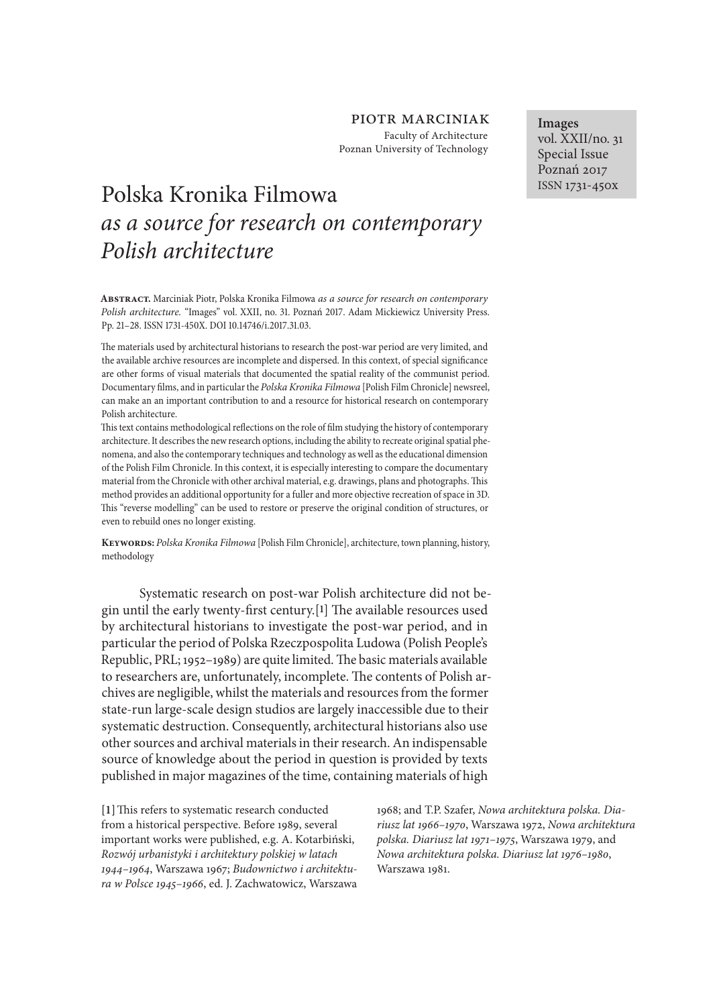## piotr marciniak Faculty of Architecture Poznan University of Technology

# Polska Kronika Filmowa *as a source for research on contemporary Polish architecture*

**Abstract.** Marciniak Piotr, Polska Kronika Filmowa *as a source for research on contemporary Polish architecture.* "Images" vol. XXII, no. 31. Poznań 2017. Adam Mickiewicz University Press. Pp. 21-28. ISSN 1731-450X. DOI 10.14746/i.2017.31.03.

The materials used by architectural historians to research the post-war period are very limited, and the available archive resources are incomplete and dispersed. In this context, of special signifcance are other forms of visual materials that documented the spatial reality of the communist period. Documentary flms, and in particular the *Polska Kronika Filmowa* [Polish Film Chronicle] newsreel, can make an an important contribution to and a resource for historical research on contemporary Polish architecture.

Tis text contains methodological refections on the role of flm studying the history of contemporary architecture. It describes the new research options, including the ability to recreate original spatial phenomena, and also the contemporary techniques and technology as well as the educational dimension of the Polish Film Chronicle. In this context, it is especially interesting to compare the documentary material from the Chronicle with other archival material, e.g. drawings, plans and photographs. This method provides an additional opportunity for a fuller and more objective recreation of space in D. Tis "reverse modelling" can be used to restore or preserve the original condition of structures, or even to rebuild ones no longer existing.

**Keywords:** *Polska Kronika Filmowa* [Polish Film Chronicle], architecture, town planning, history, methodology

Systematic research on post-war Polish architecture did not begin until the early twenty-first century.<sup>[1]</sup> The available resources used by architectural historians to investigate the post-war period, and in particular the period of Polska Rzeczpospolita Ludowa (Polish People's Republic, PRL; 1952-1989) are quite limited. The basic materials available to researchers are, unfortunately, incomplete. The contents of Polish archives are negligible, whilst the materials and resources from the former state-run large-scale design studios are largely inaccessible due to their systematic destruction. Consequently, architectural historians also use other sources and archival materials in their research. An indispensable source of knowledge about the period in question is provided by texts published in major magazines of the time, containing materials of high

[1] This refers to systematic research conducted from a historical perspective. Before 1989, several important works were published, e.g. A. Kotarbiński, *Rozwój urbanistyki i architektury polskiej w latach*  1944*–*1964, Warszawa 1967; *Budownictwo i architektura w Polsce* 1945*–*1966, ed. J. Zachwatowicz, Warszawa 1968; and T.P. Szafer, *Nowa architektura polska. Diariusz lat* 1966*–*1970, Warszawa 1972, *Nowa architektura polska. Diariusz lat* 1971*–*1975, Warszawa 1979, and *Nowa architektura polska. Diariusz lat* 1976*–*1980, Warszawa 1981.

**Images** vol. XXII/no. 31 Special Issue Poznań 2017 ISSN 1731-450x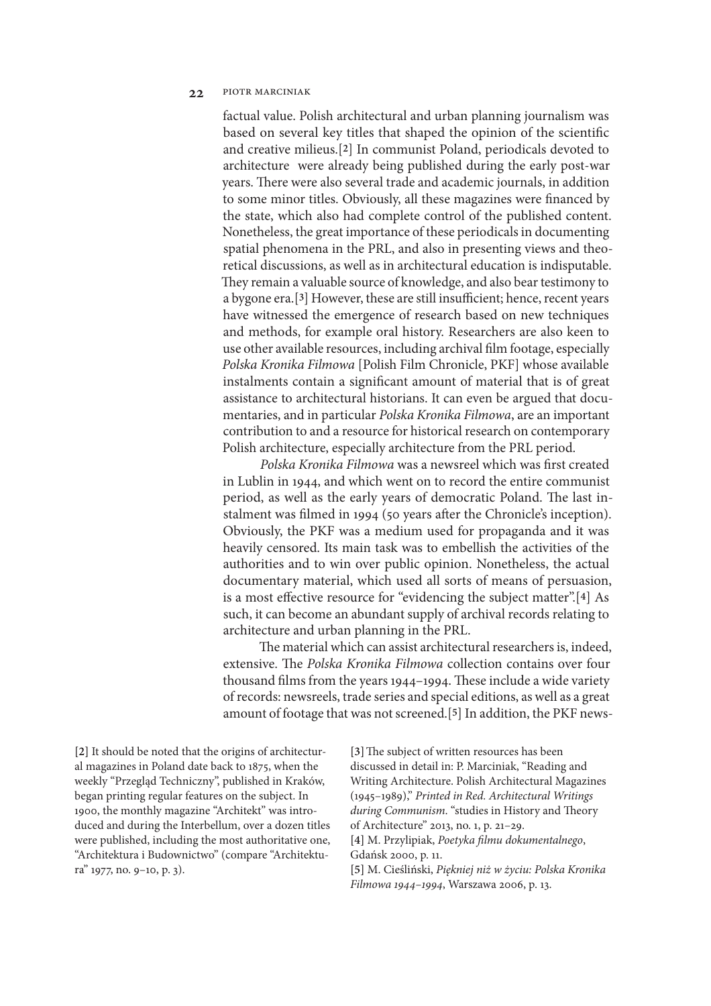factual value. Polish architectural and urban planning journalism was based on several key titles that shaped the opinion of the scientifc and creative milieus.[**2**] In communist Poland, periodicals devoted to architecture were already being published during the early post-war years. There were also several trade and academic journals, in addition to some minor titles. Obviously, all these magazines were fnanced by the state, which also had complete control of the published content. Nonetheless, the great importance of these periodicals in documenting spatial phenomena in the PRL, and also in presenting views and theoretical discussions, as well as in architectural education is indisputable. They remain a valuable source of knowledge, and also bear testimony to a bygone era.<sup>[3]</sup> However, these are still insufficient; hence, recent years have witnessed the emergence of research based on new techniques and methods, for example oral history. Researchers are also keen to use other available resources, including archival flm footage, especially *Polska Kronika Filmowa* [Polish Film Chronicle, PKF] whose available instalments contain a signifcant amount of material that is of great assistance to architectural historians. It can even be argued that documentaries, and in particular *Polska Kronika Filmowa*, are an important contribution to and a resource for historical research on contemporary Polish architecture, especially architecture from the PRL period.

*Polska Kronika Filmowa* was a newsreel which was frst created in Lublin in 1944, and which went on to record the entire communist period, as well as the early years of democratic Poland. The last instalment was flmed in 1994 (50 years afer the Chronicle's inception). Obviously, the PKF was a medium used for propaganda and it was heavily censored. Its main task was to embellish the activities of the authorities and to win over public opinion. Nonetheless, the actual documentary material, which used all sorts of means of persuasion, is a most efective resource for "evidencing the subject matter".[**4**] As such, it can become an abundant supply of archival records relating to architecture and urban planning in the PRL.

The material which can assist architectural researchers is, indeed, extensive. The *Polska Kronika Filmowa* collection contains over four thousand films from the years 1944-1994. These include a wide variety of records: newsreels, trade series and special editions, as well as a great amount of footage that was not screened.[**5**] In addition, the PKF news-

**[2]** It should be noted that the origins of architectural magazines in Poland date back to 1875, when the weekly "Przegląd Techniczny", published in Kraków, began printing regular features on the subject. In 1900, the monthly magazine "Architekt" was introduced and during the Interbellum, over a dozen titles were published, including the most authoritative one, "Architektura i Budownictwo" (compare "Architektura" 1977, no. 9–10, p. 3).

[3] The subject of written resources has been discussed in detail in: P. Marciniak, "Reading and Writing Architecture. Polish Architectural Magazines (1945–1989)," *Printed in Red. Architectural Writings during Communism*. "studies in History and Theory of Architecture" 2013, no. 1, p. 21–29. **[4]** M. Przylipiak, *Poetyka* f*lmu dokumentalnego*,

Gdańsk 2000, p. 11.

**[5]** M. Cieśliński, *Pi*ę*kniej ni*ż *w* ż*yciu: Polska Kronika Filmowa* 1944*–*1994, Warszawa 2006, p. 13.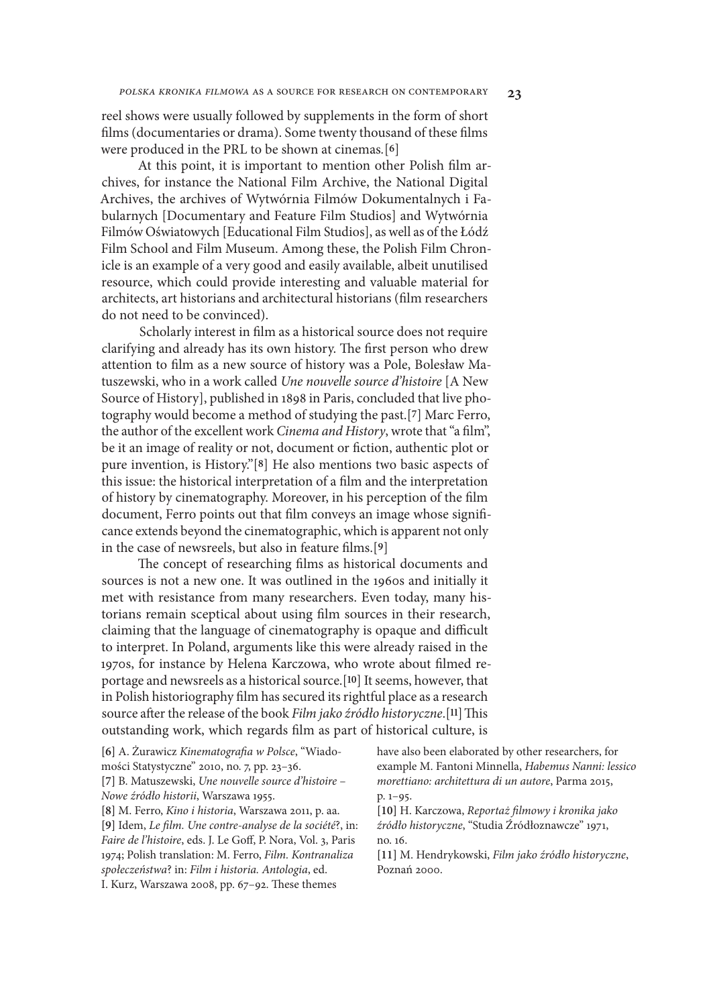reel shows were usually followed by supplements in the form of short flms (documentaries or drama). Some twenty thousand of these flms were produced in the PRL to be shown at cinemas*.*[**6**]

At this point, it is important to mention other Polish flm archives, for instance the National Film Archive, the National Digital Archives, the archives of Wytwórnia Filmów Dokumentalnych i Fabularnych [Documentary and Feature Film Studios] and Wytwórnia Filmów Oświatowych [Educational Film Studios], as well as of the Łódź Film School and Film Museum. Among these, the Polish Film Chronicle is an example of a very good and easily available, albeit unutilised resource, which could provide interesting and valuable material for architects, art historians and architectural historians (flm researchers do not need to be convinced).

Scholarly interest in flm as a historical source does not require clarifying and already has its own history. The first person who drew attention to flm as a new source of history was a Pole, Bolesław Matuszewski, who in a work called *Une nouvelle source d'histoire* [A New Source of History], published in 1898 in Paris, concluded that live photography would become a method of studying the past.[**7**] Marc Ferro, the author of the excellent work *Cinema and History*, wrote that "a flm", be it an image of reality or not, document or fiction, authentic plot or pure invention, is History."[**8**] He also mentions two basic aspects of this issue: the historical interpretation of a flm and the interpretation of history by cinematography. Moreover, in his perception of the flm document, Ferro points out that flm conveys an image whose signifcance extends beyond the cinematographic, which is apparent not only in the case of newsreels, but also in feature flms.[**9**]

The concept of researching films as historical documents and sources is not a new one. It was outlined in the 1960s and initially it met with resistance from many researchers. Even today, many historians remain sceptical about using flm sources in their research, claiming that the language of cinematography is opaque and difficult to interpret. In Poland, arguments like this were already raised in the 1970s, for instance by Helena Karczowa, who wrote about flmed reportage and newsreels as a historical source.[**10**] It seems, however, that in Polish historiography flm has secured its rightful place as a research source after the release of the book *Film jako źródło historyczne*.<sup>[11]</sup> This outstanding work, which regards flm as part of historical culture, is

**[6]** A. Żurawicz *Kinematogra*f*a w Polsce*, "Wiadomości Statystyczne" 2010, no. 7, pp. 23–36. **[7]** B. Matuszewski, *Une nouvelle source d'histoire* – *Nowe* ź*ród*ł*o historii*, Warszawa 1955. **[8]** M. Ferro, *Kino i historia*, Warszawa 2011, p. aa. **[9]** Idem, *Le* f*lm. Une contre-analyse de la société*?, in: *Faire de l'histoire*, eds. J. Le Gof, P. Nora, Vol. 3, Paris 1974; Polish translation: M. Ferro, *Film. Kontranaliza spo*ł*ecze*ń*stwa*? in: *Film i historia. Antologia*, ed. I. Kurz, Warszawa 2008, pp. 67-92. These themes p. 1–95. no. 16. Poznań 2000.

have also been elaborated by other researchers, for example M. Fantoni Minnella, *Habemus Nanni: lessico morettiano: architettura di un autore*, Parma 2015,

**[10]** H. Karczowa, *Reporta*ż f*lmowy i kronika jako*  ź*ród*ł*o historyczne*, "Studia Źródłoznawcze" 1971,

**[11]** M. Hendrykowski, *Film jako* ź*ród*ł*o historyczne*,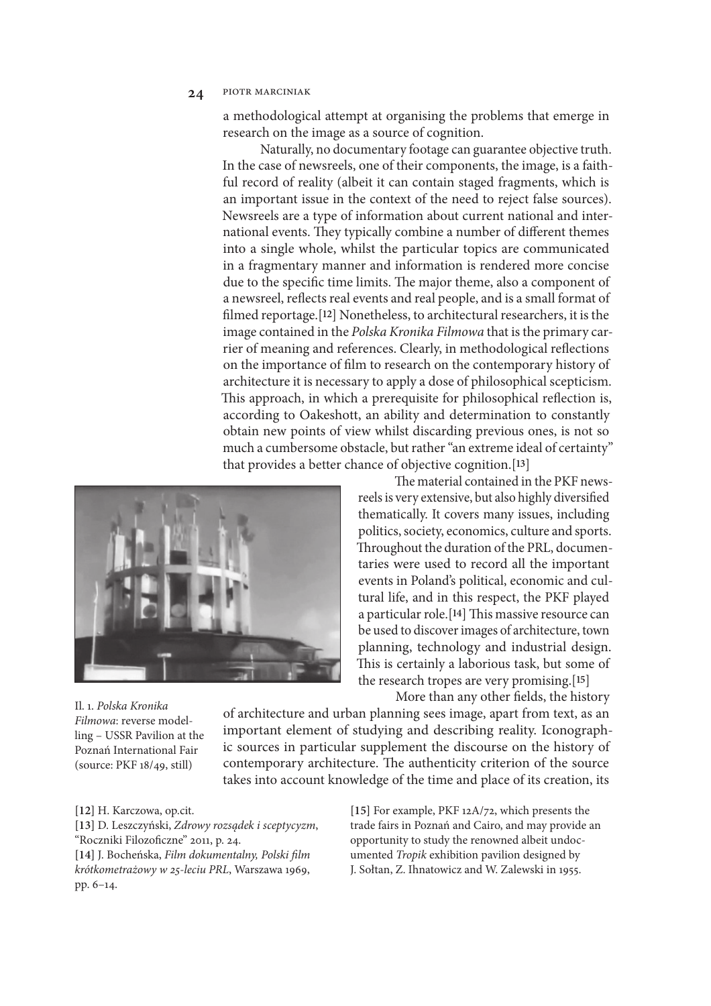a methodological attempt at organising the problems that emerge in research on the image as a source of cognition.

Naturally, no documentary footage can guarantee objective truth. In the case of newsreels, one of their components, the image, is a faithful record of reality (albeit it can contain staged fragments, which is an important issue in the context of the need to reject false sources). Newsreels are a type of information about current national and international events. They typically combine a number of different themes into a single whole, whilst the particular topics are communicated in a fragmentary manner and information is rendered more concise due to the specific time limits. The major theme, also a component of a newsreel, refects real events and real people, and is a small format of flmed reportage.[**12**] Nonetheless, to architectural researchers, it is the image contained in the *Polska Kronika Filmowa* that is the primary carrier of meaning and references. Clearly, in methodological refections on the importance of flm to research on the contemporary history of architecture it is necessary to apply a dose of philosophical scepticism. This approach, in which a prerequisite for philosophical reflection is, according to Oakeshott, an ability and determination to constantly obtain new points of view whilst discarding previous ones, is not so much a cumbersome obstacle, but rather "an extreme ideal of certainty" that provides a better chance of objective cognition.[**13**]



The material contained in the PKF newsreels is very extensive, but also highly diversifed thematically. It covers many issues, including politics, society, economics, culture and sports. Throughout the duration of the PRL, documentaries were used to record all the important events in Poland's political, economic and cultural life, and in this respect, the PKF played a particular role.<sup>[14]</sup> This massive resource can be used to discover images of architecture, town planning, technology and industrial design. This is certainly a laborious task, but some of the research tropes are very promising.[**15**] More than any other felds, the history

Il. 1. *Polska Kronika Filmowa*: reverse modelling – USSR Pavilion at the Poznań International Fair (source: PKF 18/49, still)

of architecture and urban planning sees image, apart from text, as an important element of studying and describing reality. Iconographic sources in particular supplement the discourse on the history of contemporary architecture. The authenticity criterion of the source takes into account knowledge of the time and place of its creation, its

**[12]** H. Karczowa, op.cit.

**[13]** D. Leszczyński, *Zdrowy rozs*ą*dek i sceptycyzm*, "Roczniki Filozofczne" 2011, p. 24.

**[14]** J. Bocheńska, *Film dokumentalny, Polski* f*lm krótkometra*ż*owy w* 25*-leciu PRL*, Warszawa 1969, pp. 6–14.

**[15]** For example, PKF 12A/72, which presents the trade fairs in Poznań and Cairo, and may provide an opportunity to study the renowned albeit undocumented *Tropik* exhibition pavilion designed by J. Sołtan, Z. Ihnatowicz and W. Zalewski in 1955.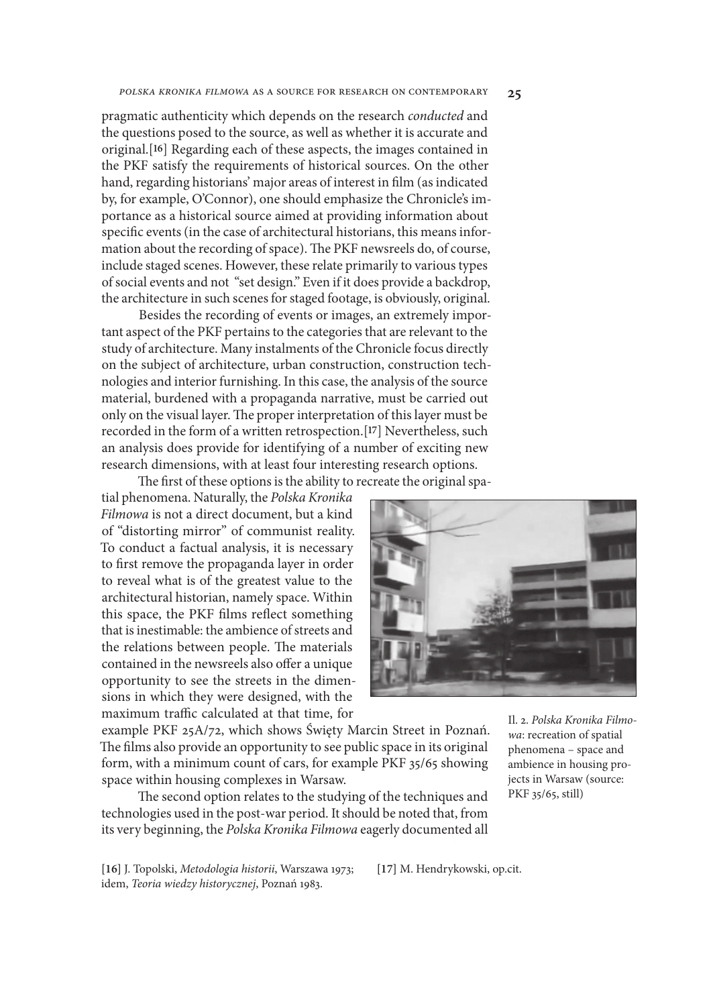pragmatic authenticity which depends on the research *conducted* and the questions posed to the source, as well as whether it is accurate and original.[**16**] Regarding each of these aspects, the images contained in the PKF satisfy the requirements of historical sources. On the other hand, regarding historians' major areas of interest in flm (as indicated by, for example, O'Connor), one should emphasize the Chronicle's importance as a historical source aimed at providing information about specifc events (in the case of architectural historians, this means information about the recording of space). The PKF newsreels do, of course, include staged scenes. However, these relate primarily to various types of social events and not "set design." Even if it does provide a backdrop, the architecture in such scenes for staged footage, is obviously, original.

Besides the recording of events or images, an extremely important aspect of the PKF pertains to the categories that are relevant to the study of architecture. Many instalments of the Chronicle focus directly on the subject of architecture, urban construction, construction technologies and interior furnishing. In this case, the analysis of the source material, burdened with a propaganda narrative, must be carried out only on the visual layer. The proper interpretation of this layer must be recorded in the form of a written retrospection.[**17**] Nevertheless, such an analysis does provide for identifying of a number of exciting new research dimensions, with at least four interesting research options.

The first of these options is the ability to recreate the original spatial phenomena. Naturally, the *Polska Kronika Filmowa* is not a direct document, but a kind of "distorting mirror" of communist reality. To conduct a factual analysis, it is necessary to frst remove the propaganda layer in order to reveal what is of the greatest value to the architectural historian, namely space. Within this space, the PKF flms refect something that is inestimable: the ambience of streets and the relations between people. The materials contained in the newsreels also offer a unique opportunity to see the streets in the dimensions in which they were designed, with the maximum traffic calculated at that time, for



example PKF 25A/72, which shows Święty Marcin Street in Poznań. The films also provide an opportunity to see public space in its original form, with a minimum count of cars, for example PKF 35/65 showing space within housing complexes in Warsaw.

The second option relates to the studying of the techniques and technologies used in the post-war period. It should be noted that, from its very beginning, the *Polska Kronika Filmowa* eagerly documented all

Il. 2. *Polska Kronika Filmowa*: recreation of spatial phenomena – space and ambience in housing projects in Warsaw (source: PKF 35/65, still)

**[16]** J. Topolski, *Metodologia historii*, Warszawa 1973; idem, *Teoria wiedzy historycznej*, Poznań 1983.

**[17]** M. Hendrykowski, op.cit.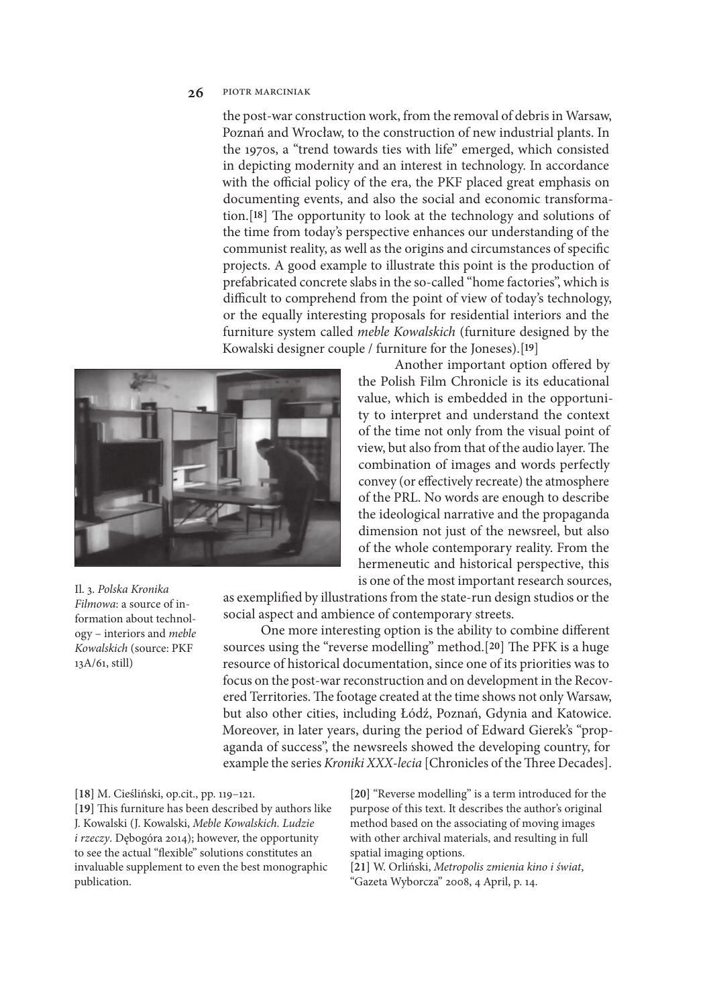the post-war construction work, from the removal of debris in Warsaw, Poznań and Wrocław, to the construction of new industrial plants. In the 1970s, a "trend towards ties with life" emerged, which consisted in depicting modernity and an interest in technology. In accordance with the official policy of the era, the PKF placed great emphasis on documenting events, and also the social and economic transformation.<sup>[18]</sup> The opportunity to look at the technology and solutions of the time from today's perspective enhances our understanding of the communist reality, as well as the origins and circumstances of specifc projects. A good example to illustrate this point is the production of prefabricated concrete slabs in the so-called "home factories", which is difficult to comprehend from the point of view of today's technology, or the equally interesting proposals for residential interiors and the furniture system called *meble Kowalskich* (furniture designed by the Kowalski designer couple / furniture for the Joneses).[**19**]



Il. 3. *Polska Kronika Filmowa*: a source of information about technology – interiors and *meble Kowalskich* (source: PKF 13A/61, still)

Another important option ofered by the Polish Film Chronicle is its educational value, which is embedded in the opportunity to interpret and understand the context of the time not only from the visual point of view, but also from that of the audio layer. The combination of images and words perfectly convey (or efectively recreate) the atmosphere of the PRL. No words are enough to describe the ideological narrative and the propaganda dimension not just of the newsreel, but also of the whole contemporary reality. From the hermeneutic and historical perspective, this is one of the most important research sources,

as exemplifed by illustrations from the state-run design studios or the social aspect and ambience of contemporary streets.

One more interesting option is the ability to combine diferent sources using the "reverse modelling" method.<sup>[20]</sup> The PFK is a huge resource of historical documentation, since one of its priorities was to focus on the post-war reconstruction and on development in the Recovered Territories. The footage created at the time shows not only Warsaw, but also other cities, including Łódź, Poznań, Gdynia and Katowice. Moreover, in later years, during the period of Edward Gierek's "propaganda of success", the newsreels showed the developing country, for example the series *Kroniki XXX-lecia* [Chronicles of the Three Decades].

**[18]** M. Cieśliński, op.cit., pp. 119–121. [19] This furniture has been described by authors like J. Kowalski (J. Kowalski, *Meble Kowalskich. Ludzie i rzeczy*. Dębogóra 2014); however, the opportunity to see the actual "fexible" solutions constitutes an invaluable supplement to even the best monographic publication.

**[20]** "Reverse modelling" is a term introduced for the purpose of this text. It describes the author's original method based on the associating of moving images with other archival materials, and resulting in full spatial imaging options.

**[21]** W. Orliński, *Metropolis zmienia kino i* ś*wiat*, "Gazeta Wyborcza" 2008, 4 April, p. 14.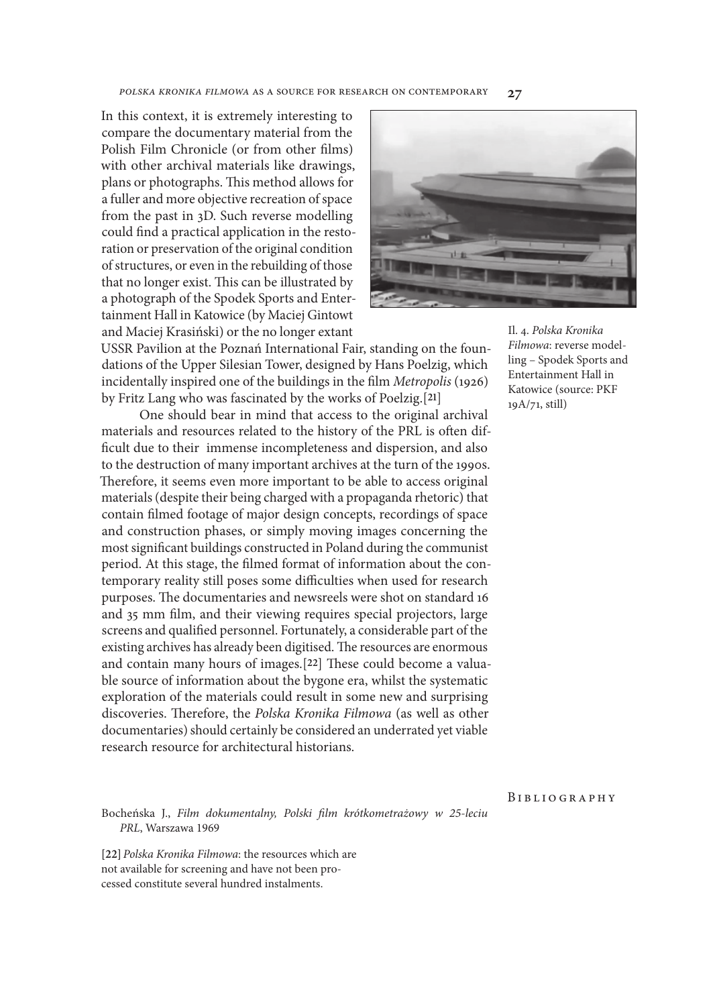In this context, it is extremely interesting to compare the documentary material from the Polish Film Chronicle (or from other flms) with other archival materials like drawings, plans or photographs. This method allows for a fuller and more objective recreation of space from the past in 3D. Such reverse modelling could fnd a practical application in the restoration or preservation of the original condition of structures, or even in the rebuilding of those that no longer exist. This can be illustrated by a photograph of the Spodek Sports and Entertainment Hall in Katowice (by Maciej Gintowt and Maciej Krasiński) or the no longer extant



USSR Pavilion at the Poznań International Fair, standing on the foundations of the Upper Silesian Tower, designed by Hans Poelzig, which incidentally inspired one of the buildings in the flm *Metropolis* (1926) by Fritz Lang who was fascinated by the works of Poelzig.[**21**]

One should bear in mind that access to the original archival materials and resources related to the history of the PRL is often diffcult due to their immense incompleteness and dispersion, and also to the destruction of many important archives at the turn of the 1990s. Therefore, it seems even more important to be able to access original materials (despite their being charged with a propaganda rhetoric) that contain flmed footage of major design concepts, recordings of space and construction phases, or simply moving images concerning the most signifcant buildings constructed in Poland during the communist period. At this stage, the flmed format of information about the contemporary reality still poses some difficulties when used for research purposes. The documentaries and newsreels were shot on standard 16 and 35 mm flm, and their viewing requires special projectors, large screens and qualifed personnel. Fortunately, a considerable part of the existing archives has already been digitised. The resources are enormous and contain many hours of images.<sup>[22]</sup> These could become a valuable source of information about the bygone era, whilst the systematic exploration of the materials could result in some new and surprising discoveries. Therefore, the *Polska Kronika Filmowa* (as well as other documentaries) should certainly be considered an underrated yet viable research resource for architectural historians.

Il. 4. *Polska Kronika Filmowa*: reverse modelling – Spodek Sports and Entertainment Hall in Katowice (source: PKF 19A/71, still)

#### **BIBLIOGRAPHY**

Bocheńska J., *Film dokumentalny, Polski* f*lm krótkometra*ż*owy w 25-leciu PRL*, Warszawa 1969

**[22]***Polska Kronika Filmowa*: the resources which are not available for screening and have not been processed constitute several hundred instalments.